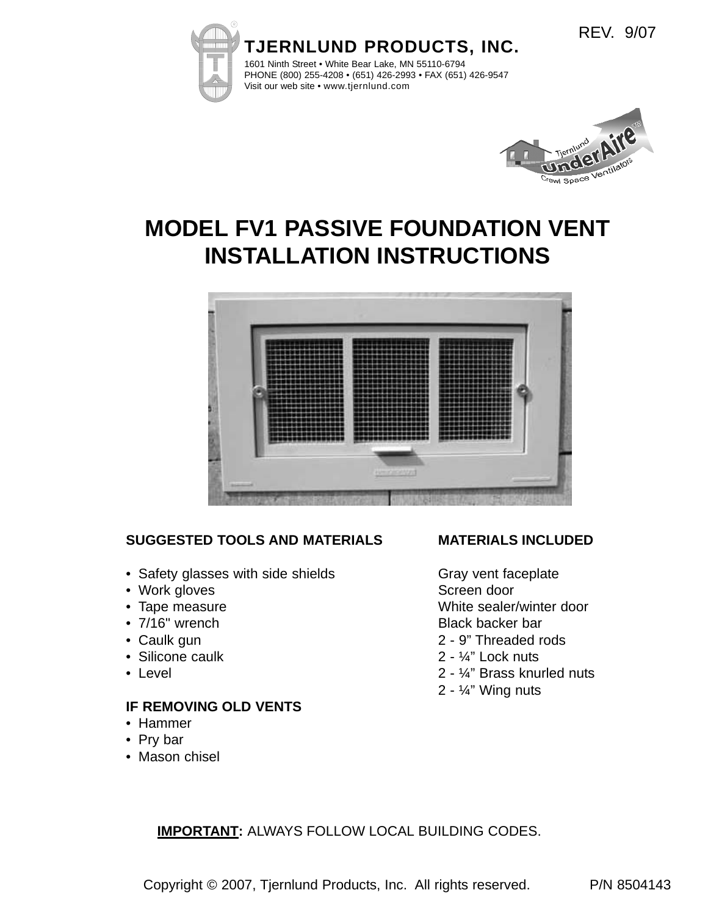



REV. 9/07

# **MODEL FV1 PASSIVE FOUNDATION VENT INSTALLATION INSTRUCTIONS**



## **SUGGESTED TOOLS AND MATERIALS**

- Safety glasses with side shields
- Work gloves
- Tape measure
- 7/16" wrench
- Caulk gun
- Silicone caulk
- Level

### **IF REMOVING OLD VENTS**

- Hammer
- Pry bar
- Mason chisel

## **MATERIALS INCLUDED**

Gray vent faceplate Screen door White sealer/winter door Black backer bar 2 - 9" Threaded rods

- 2 ¼" Lock nuts
- 2 ¼" Brass knurled nuts
- 2 ¼" Wing nuts

**IMPORTANT:** ALWAYS FOLLOW LOCAL BUILDING CODES.

Copyright © 2007, Tjernlund Products, Inc. All rights reserved. P/N 8504143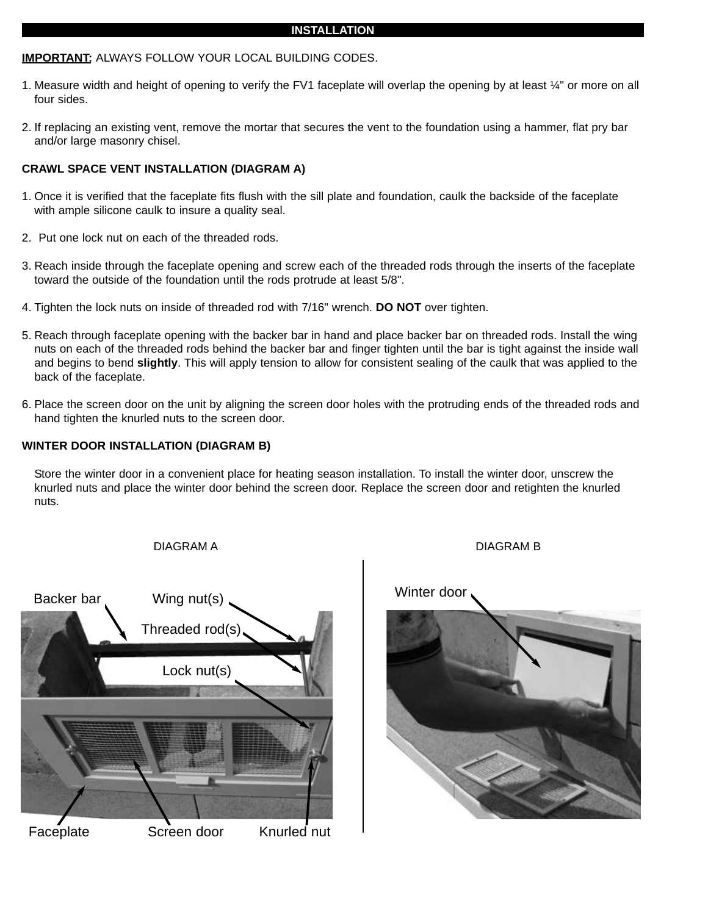#### **INSTALLATION**

#### **IMPORTANT:** ALWAYS FOLLOW YOUR LOCAL BUILDING CODES.

- 1. Measure width and height of opening to verify the FV1 faceplate will overlap the opening by at least ¼" or more on all four sides.
- 2. If replacing an existing vent, remove the mortar that secures the vent to the foundation using a hammer, flat pry bar and/or large masonry chisel.

#### **CRAWL SPACE VENT INSTALLATION (DIAGRAM A)**

- 1. Once it is verified that the faceplate fits flush with the sill plate and foundation, caulk the backside of the faceplate with ample silicone caulk to insure a quality seal.
- 2. Put one lock nut on each of the threaded rods.
- 3. Reach inside through the faceplate opening and screw each of the threaded rods through the inserts of the faceplate toward the outside of the foundation until the rods protrude at least 5/8".
- 4. Tighten the lock nuts on inside of threaded rod with 7/16" wrench. **DO NOT** over tighten.
- 5. Reach through faceplate opening with the backer bar in hand and place backer bar on threaded rods. Install the wing nuts on each of the threaded rods behind the backer bar and finger tighten until the bar is tight against the inside wall and begins to bend **slightly**. This will apply tension to allow for consistent sealing of the caulk that was applied to the back of the faceplate.
- 6. Place the screen door on the unit by aligning the screen door holes with the protruding ends of the threaded rods and hand tighten the knurled nuts to the screen door.

#### **WINTER DOOR INSTALLATION (DIAGRAM B)**

Store the winter door in a convenient place for heating season installation. To install the winter door, unscrew the knurled nuts and place the winter door behind the screen door. Replace the screen door and retighten the knurled nuts.



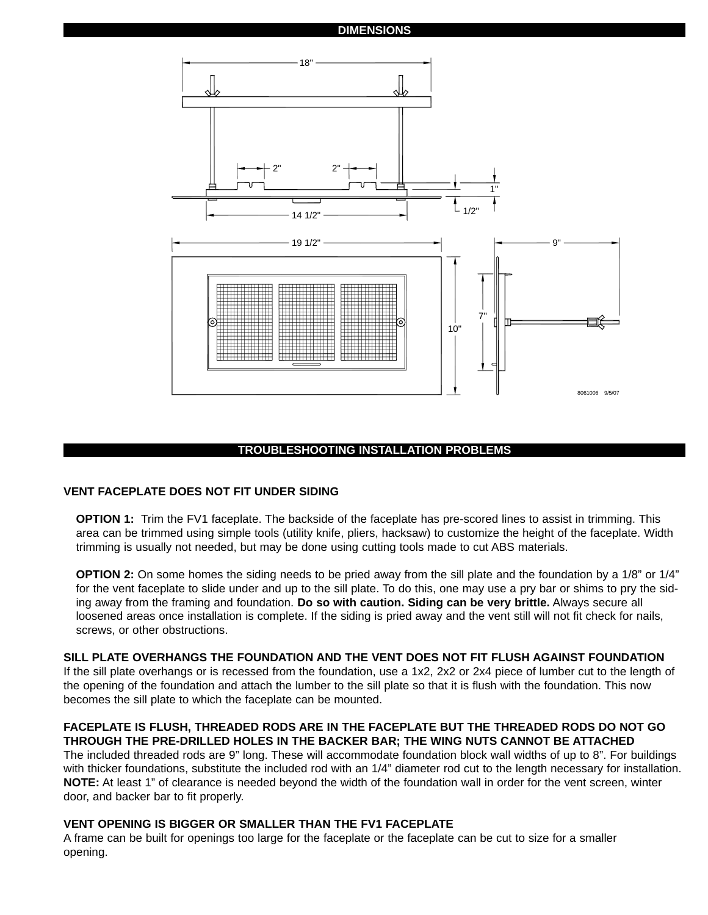#### **DIMENSIONS**



#### **TROUBLESHOOTING INSTALLATION PROBLEMS**

#### **VENT FACEPLATE DOES NOT FIT UNDER SIDING**

**OPTION 1:** Trim the FV1 faceplate. The backside of the faceplate has pre-scored lines to assist in trimming. This area can be trimmed using simple tools (utility knife, pliers, hacksaw) to customize the height of the faceplate. Width trimming is usually not needed, but may be done using cutting tools made to cut ABS materials.

**OPTION 2:** On some homes the siding needs to be pried away from the sill plate and the foundation by a 1/8" or 1/4" for the vent faceplate to slide under and up to the sill plate. To do this, one may use a pry bar or shims to pry the siding away from the framing and foundation. **Do so with caution. Siding can be very brittle.** Always secure all loosened areas once installation is complete. If the siding is pried away and the vent still will not fit check for nails, screws, or other obstructions.

#### **SILL PLATE OVERHANGS THE FOUNDATION AND THE VENT DOES NOT FIT FLUSH AGAINST FOUNDATION**

If the sill plate overhangs or is recessed from the foundation, use a 1x2, 2x2 or 2x4 piece of lumber cut to the length of the opening of the foundation and attach the lumber to the sill plate so that it is flush with the foundation. This now becomes the sill plate to which the faceplate can be mounted.

#### **FACEPLATE IS FLUSH, THREADED RODS ARE IN THE FACEPLATE BUT THE THREADED RODS DO NOT GO THROUGH THE PRE-DRILLED HOLES IN THE BACKER BAR; THE WING NUTS CANNOT BE ATTACHED**

The included threaded rods are 9" long. These will accommodate foundation block wall widths of up to 8". For buildings with thicker foundations, substitute the included rod with an 1/4" diameter rod cut to the length necessary for installation. **NOTE:** At least 1" of clearance is needed beyond the width of the foundation wall in order for the vent screen, winter door, and backer bar to fit properly.

#### **VENT OPENING IS BIGGER OR SMALLER THAN THE FV1 FACEPLATE**

A frame can be built for openings too large for the faceplate or the faceplate can be cut to size for a smaller opening.